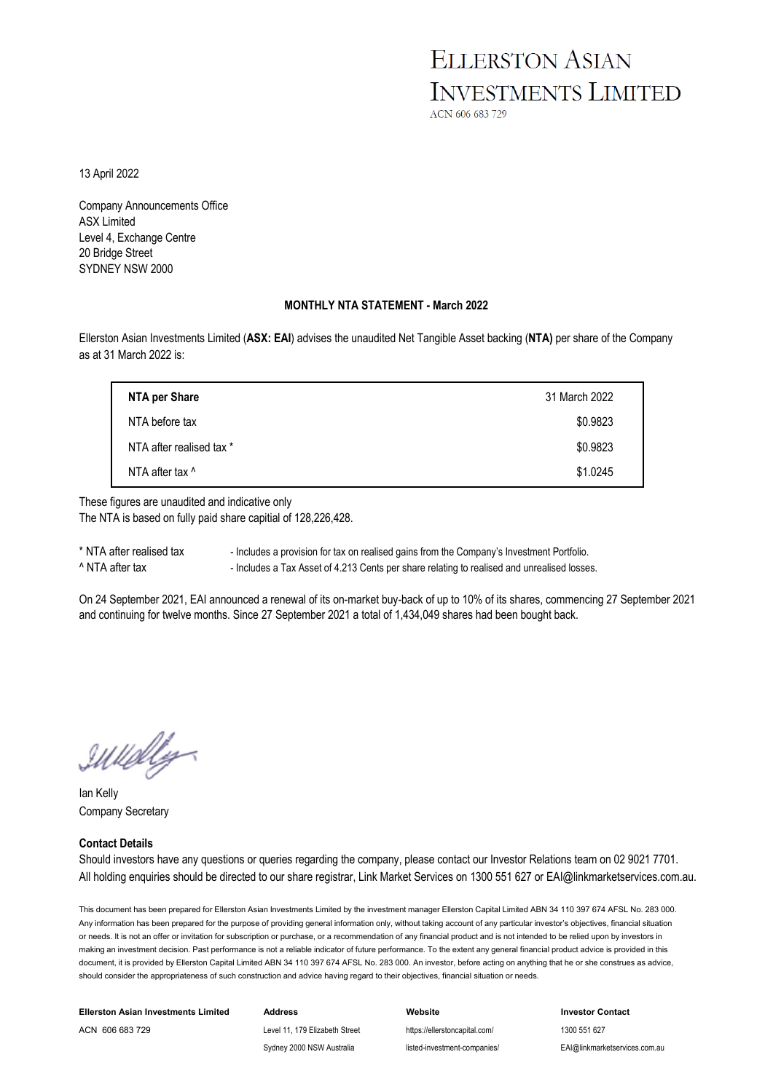## **ELLERSTON ASIAN INVESTMENTS LIMITED**

ACN 606 683 729

13 April 2022

Company Announcements Office ASX Limited Level 4, Exchange Centre 20 Bridge Street SYDNEY NSW 2000

#### **MONTHLY NTA STATEMENT - March 2022**

Ellerston Asian Investments Limited (**ASX: EAI**) advises the unaudited Net Tangible Asset backing (**NTA)** per share of the Company as at 31 March 2022 is:

| NTA per Share            | 31 March 2022 |
|--------------------------|---------------|
| NTA before tax           | \$0.9823      |
| NTA after realised tax * | \$0.9823      |
| NTA after tax ^          | \$1.0245      |

These figures are unaudited and indicative only The NTA is based on fully paid share capitial of 128,226,428.

\* NTA after realised tax - Includes a provision for tax on realised gains from the Company's Investment Portfolio. ^ NTA after tax - Includes a Tax Asset of 4.213 Cents per share relating to realised and unrealised losses.

On 24 September 2021, EAI announced a renewal of its on-market buy-back of up to 10% of its shares, commencing 27 September 2021 and continuing for twelve months. Since 27 September 2021 a total of 1,434,049 shares had been bought back.

IWelly

Ian Kelly Company Secretary

#### **Contact Details**

Should investors have any questions or queries regarding the company, please contact our Investor Relations team on 02 9021 7701. All holding enquiries should be directed to our share registrar, Link Market Services on 1300 551 627 or EAI@linkmarketservices.com.au.

This document has been prepared for Ellerston Asian Investments Limited by the investment manager Ellerston Capital Limited ABN 34 110 397 674 AFSL No. 283 000. Any information has been prepared for the purpose of providing general information only, without taking account of any particular investor's objectives, financial situation or needs. It is not an offer or invitation for subscription or purchase, or a recommendation of any financial product and is not intended to be relied upon by investors in making an investment decision. Past performance is not a reliable indicator of future performance. To the extent any general financial product advice is provided in this document, it is provided by Ellerston Capital Limited ABN 34 110 397 674 AFSL No. 283 000. An investor, before acting on anything that he or she construes as advice. should consider the appropriateness of such construction and advice having regard to their objectives, financial situation or needs.

| <b>Ellerston Asian Investments Limited</b> | Address                        | Website                       | <b>Investor Contact</b>       |
|--------------------------------------------|--------------------------------|-------------------------------|-------------------------------|
| ACN 606 683 729                            | Level 11, 179 Elizabeth Street | https://ellerstoncapital.com/ | 1300 551 627                  |
|                                            | Sydney 2000 NSW Australia      | listed-investment-companies/  | EAI@linkmarketservices.com.au |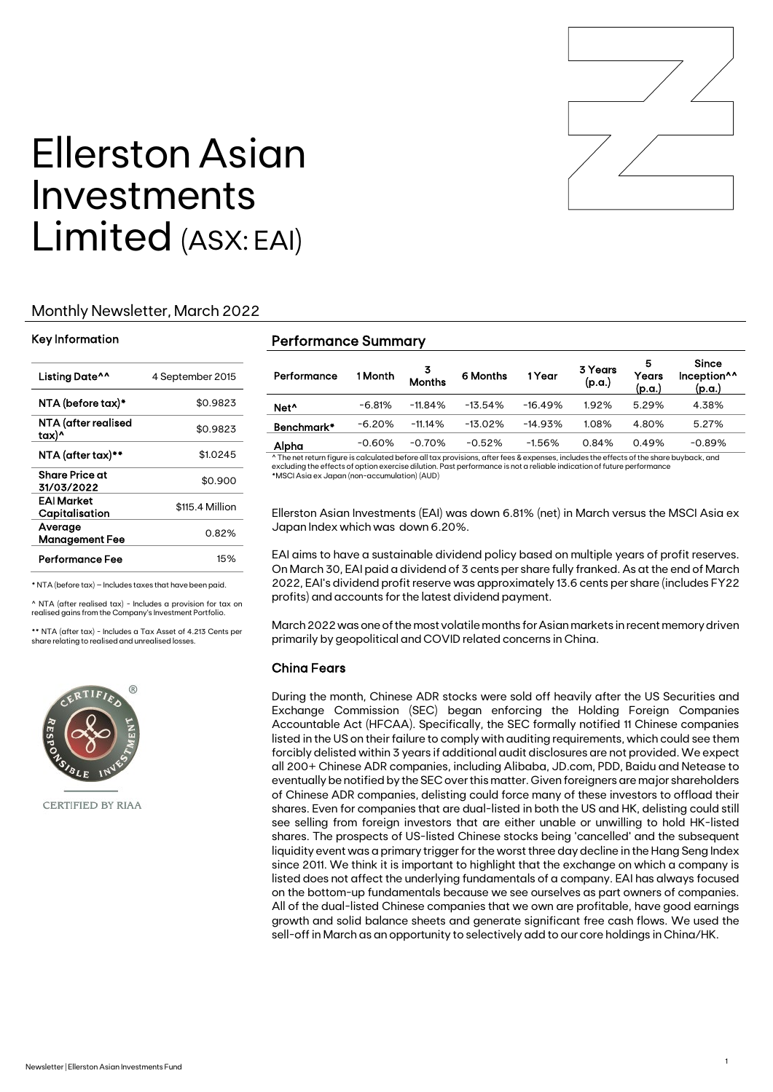

# Ellerston Asian Investments Limited (ASX: EAI)

### Monthly Newsletter, March 2022

#### Key Information

| Listing Date <sup>^^</sup>       | 4 September 2015 |
|----------------------------------|------------------|
| NTA (before tax)*                | \$0.9823         |
| NTA (after realised<br>tax)^     | \$0.9823         |
| NTA (after tax)**                | \$1.0245         |
| Share Price at<br>31/03/2022     | \$0.900          |
| EAI Market<br>Capitalisation     | \$115.4 Million  |
| Average<br><b>Management Fee</b> | 0.82%            |
| Performance Fee                  | 15%              |

\* NTA (before tax) – Includes taxes that have been paid.

 $\land$  NTA (after realised tax) - Includes a provision for tax on realised gains from the Company's Investment Portfolio.

\*\* NTA (after tax) - Includes a Tax Asset of 4.213 Cents per share relating to realised and unrealised losses.



CERTIFIED BY RIAA

#### Performance Summary

| Performance      | 1 Month  | 3<br>Months | 6 Months   | 1 Year    | 3 Years<br>(p.a.) | 5<br>Years<br>(p.a.) | Since<br>Inception <sup>^^</sup><br>(p.a.) |
|------------------|----------|-------------|------------|-----------|-------------------|----------------------|--------------------------------------------|
| Net <sup>^</sup> | $-6.81%$ | $-11.84\%$  | $-13.54%$  | $-16.49%$ | 1.92%             | 5.29%                | 4.38%                                      |
| Benchmark*       | $-6.20%$ | $-11.14%$   | $-13.02\%$ | $-14.93%$ | 1.08%             | 4.80%                | 5.27%                                      |
| Alpha            | $-0.60%$ | $-0.70%$    | $-0.52%$   | $-1.56%$  | 0.84%             | 0.49%                | $-0.89%$                                   |

^ The net return figure is calculated before all tax provisions, after fees & expenses, includes the effects of the share buyback, and excluding the effects of option exercise dilution. Past performance is not a reliable indication of future performance \*MSCI Asia ex Japan (non-accumulation) (AUD)

Ellerston Asian Investments (EAI) was down 6.81% (net) in March versus the MSCI Asia ex Japan Index which was down 6.20%.

EAI aims to have a sustainable dividend policy based on multiple years of profit reserves. On March 30, EAI paid a dividend of 3 cents per share fully franked. As at the end of March 2022, EAI's dividend profit reserve was approximately 13.6 cents per share (includes FY22 profits) and accounts for the latest dividend payment.

March 2022 was one of the most volatile months for Asian markets in recent memory driven primarily by geopolitical and COVID related concerns in China.

### China Fears

During the month, Chinese ADR stocks were sold off heavily after the US Securities and Exchange Commission (SEC) began enforcing the Holding Foreign Companies Accountable Act (HFCAA). Specifically, the SEC formally notified 11 Chinese companies listed in the US on their failure to comply with auditing requirements, which could see them forcibly delisted within 3 years if additional audit disclosures are not provided. We expect all 200+ Chinese ADR companies, including Alibaba, JD.com, PDD, Baidu and Netease to eventually be notified by the SEC over this matter. Given foreigners are major shareholders of Chinese ADR companies, delisting could force many of these investors to offload their shares. Even for companies that are dual-listed in both the US and HK, delisting could still see selling from foreign investors that are either unable or unwilling to hold HK-listed shares. The prospects of US-listed Chinese stocks being 'cancelled' and the subsequent liquidity event was a primary trigger for the worst three day decline in the Hang Seng Index since 2011. We think it is important to highlight that the exchange on which a company is listed does not affect the underlying fundamentals of a company. EAI has always focused on the bottom-up fundamentals because we see ourselves as part owners of companies. All of the dual-listed Chinese companies that we own are profitable, have good earnings growth and solid balance sheets and generate significant free cash flows. We used the sell-off in March as an opportunity to selectively add to our core holdings in China/HK.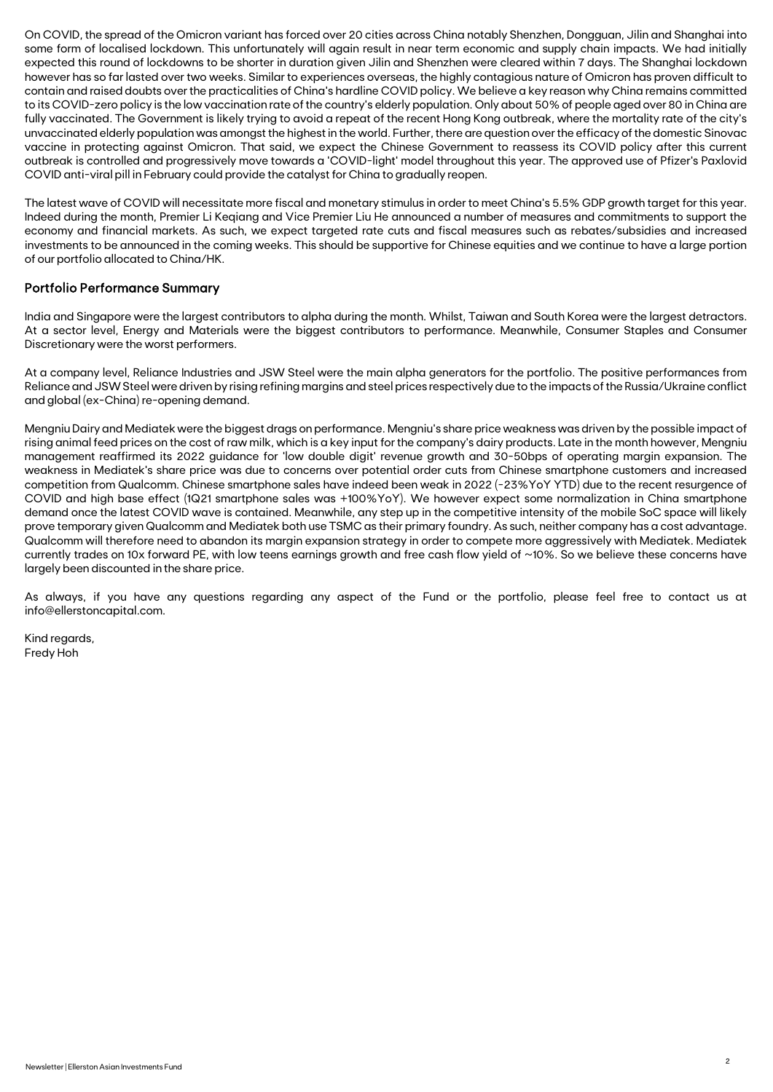On COVID, the spread of the Omicron variant has forced over 20 cities across China notably Shenzhen, Dongguan, Jilin and Shanghai into some form of localised lockdown. This unfortunately will again result in near term economic and supply chain impacts. We had initially expected this round of lockdowns to be shorter in duration given Jilin and Shenzhen were cleared within 7 days. The Shanghai lockdown however has so far lasted over two weeks. Similar to experiences overseas, the highly contagious nature of Omicron has proven difficult to contain and raised doubts over the practicalities of China's hardline COVID policy. We believe a key reason why China remains committed to its COVID-zero policy is the low vaccination rate of the country's elderly population. Only about 50% of people aged over 80 in China are fully vaccinated. The Government is likely trying to avoid a repeat of the recent Hong Kong outbreak, where the mortality rate of the city's unvaccinated elderly population was amongst the highest in the world. Further, there are question over the efficacy of the domestic Sinovac vaccine in protecting against Omicron. That said, we expect the Chinese Government to reassess its COVID policy after this current outbreak is controlled and progressively move towards a 'COVID-light' model throughout this year. The approved use of Pfizer's Paxlovid COVID anti-viral pill in February could provide the catalyst for China to gradually reopen.

The latest wave of COVID will necessitate more fiscal and monetary stimulus in order to meet China's 5.5% GDP growth target for this year. Indeed during the month, Premier Li Keqiang and Vice Premier Liu He announced a number of measures and commitments to support the economy and financial markets. As such, we expect targeted rate cuts and fiscal measures such as rebates/subsidies and increased investments to be announced in the coming weeks. This should be supportive for Chinese equities and we continue to have a large portion of our portfolio allocated to China/HK.

#### Portfolio Performance Summary

India and Singapore were the largest contributors to alpha during the month. Whilst, Taiwan and South Korea were the largest detractors. At a sector level, Energy and Materials were the biggest contributors to performance. Meanwhile, Consumer Staples and Consumer Discretionary were the worst performers.

At a company level, Reliance Industries and JSW Steel were the main alpha generators for the portfolio. The positive performances from Reliance and JSW Steel were driven by rising refining margins and steel prices respectively due to the impacts of the Russia/Ukraine conflict and global (ex-China) re-opening demand.

Mengniu Dairy and Mediatek were the biggest drags on performance. Mengniu's share price weakness was driven by the possible impact of rising animal feed prices on the cost of raw milk, which is a key input for the company's dairy products. Late in the month however, Mengniu management reaffirmed its 2022 guidance for 'low double digit' revenue growth and 30-50bps of operating margin expansion. The weakness in Mediatek's share price was due to concerns over potential order cuts from Chinese smartphone customers and increased competition from Qualcomm. Chinese smartphone sales have indeed been weak in 2022 (-23%YoY YTD) due to the recent resurgence of COVID and high base effect (1Q21 smartphone sales was +100%YoY). We however expect some normalization in China smartphone demand once the latest COVID wave is contained. Meanwhile, any step up in the competitive intensity of the mobile SoC space will likely prove temporary given Qualcomm and Mediatek both use TSMC as their primary foundry. As such, neither company has a cost advantage. Qualcomm will therefore need to abandon its margin expansion strategy in order to compete more aggressively with Mediatek. Mediatek currently trades on 10x forward PE, with low teens earnings growth and free cash flow yield of ~10%. So we believe these concerns have largely been discounted in the share price.

As always, if you have any questions regarding any aspect of the Fund or the portfolio, please feel free to contact us at info@ellerstoncapital.com.

Kind regards, Fredy Hoh